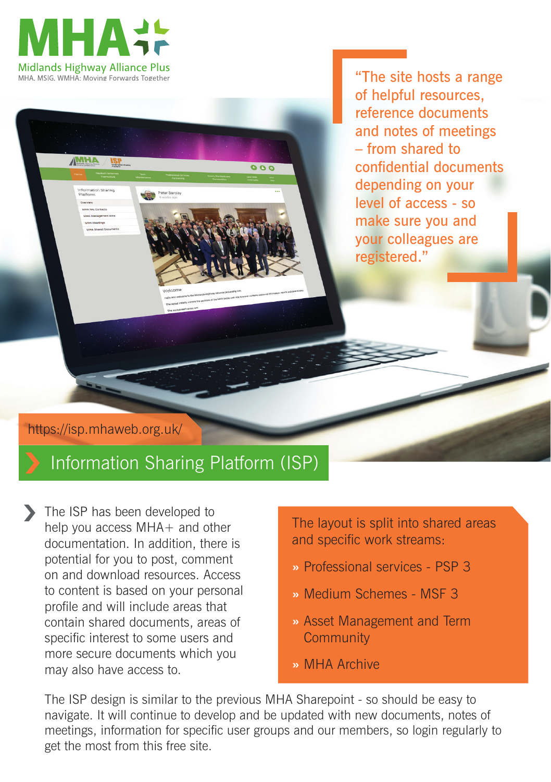

**MHA** 

"The site hosts a range of helpful resources, reference documents and notes of meetings – from shared to confidential documents depending on your level of access - so make sure you and your colleagues are registered."

https://isp.mhaweb.org.uk/

## Information Sharing Platform (ISP)

The ISP has been developed to help you access MHA+ and other documentation. In addition, there is potential for you to post, comment on and download resources. Access to content is based on your personal profile and will include areas that contain shared documents, areas of specific interest to some users and more secure documents which you may also have access to.

The layout is split into shared areas and specific work streams:

- **»** Professional services PSP 3
- **»** Medium Schemes MSF 3
- **»** Asset Management and Term **Community**
- **»** MHA Archive

The ISP design is similar to the previous MHA Sharepoint - so should be easy to navigate. It will continue to develop and be updated with new documents, notes of meetings, information for specific user groups and our members, so login regularly to get the most from this free site.

 $\overline{\bullet}$